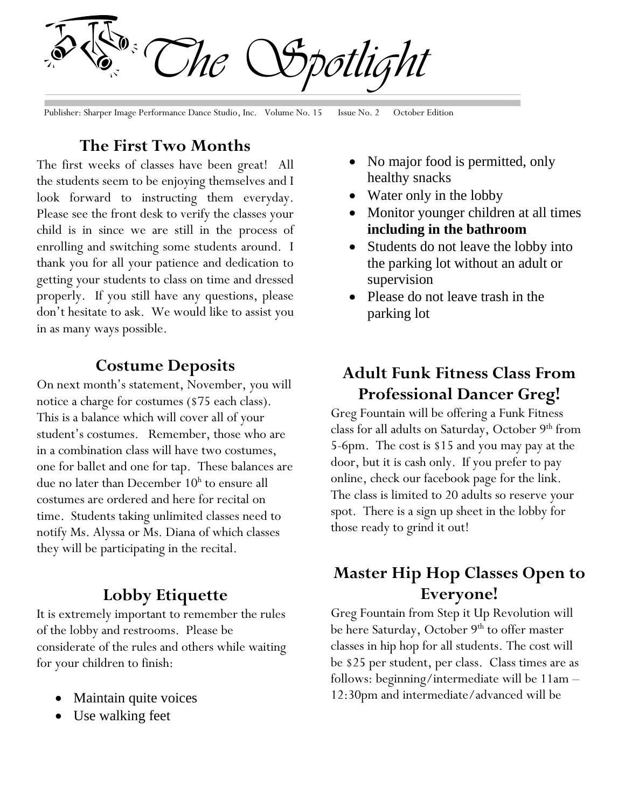*The Spotlight*

Publisher: Sharper Image Performance Dance Studio, Inc. Volume No. 15 Issue No. 2 October Edition

#### **The First Two Months**

The first weeks of classes have been great! All the students seem to be enjoying themselves and I look forward to instructing them everyday. Please see the front desk to verify the classes your child is in since we are still in the process of enrolling and switching some students around. I thank you for all your patience and dedication to getting your students to class on time and dressed properly. If you still have any questions, please don't hesitate to ask. We would like to assist you in as many ways possible.

#### **Costume Deposits**

On next month's statement, November, you will notice a charge for costumes (\$75 each class). This is a balance which will cover all of your student's costumes. Remember, those who are in a combination class will have two costumes, one for ballet and one for tap. These balances are due no later than December 10<sup>h</sup> to ensure all costumes are ordered and here for recital on time. Students taking unlimited classes need to notify Ms. Alyssa or Ms. Diana of which classes they will be participating in the recital.

#### **Lobby Etiquette**

It is extremely important to remember the rules of the lobby and restrooms. Please be considerate of the rules and others while waiting for your children to finish:

- Maintain quite voices
- Use walking feet
- No major food is permitted, only healthy snacks
- Water only in the lobby
- Monitor younger children at all times **including in the bathroom**
- Students do not leave the lobby into the parking lot without an adult or supervision
- Please do not leave trash in the parking lot

## **Adult Funk Fitness Class From Professional Dancer Greg!**

Greg Fountain will be offering a Funk Fitness class for all adults on Saturday, October 9th from 5-6pm. The cost is \$15 and you may pay at the door, but it is cash only. If you prefer to pay online, check our facebook page for the link. The class is limited to 20 adults so reserve your spot. There is a sign up sheet in the lobby for those ready to grind it out!

## **Master Hip Hop Classes Open to Everyone!**

Greg Fountain from Step it Up Revolution will be here Saturday, October 9<sup>th</sup> to offer master classes in hip hop for all students. The cost will be \$25 per student, per class. Class times are as follows: beginning/intermediate will be 11am – 12:30pm and intermediate/advanced will be